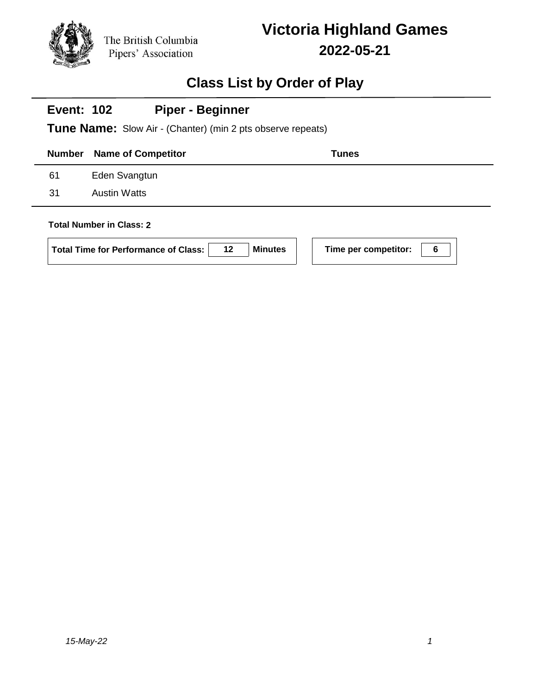

## **Class List by Order of Play**

| <b>Number</b> | <b>Name of Competitor</b> | Tunes |
|---------------|---------------------------|-------|
| 61            | Eden Svangtun             |       |
| 31            | <b>Austin Watts</b>       |       |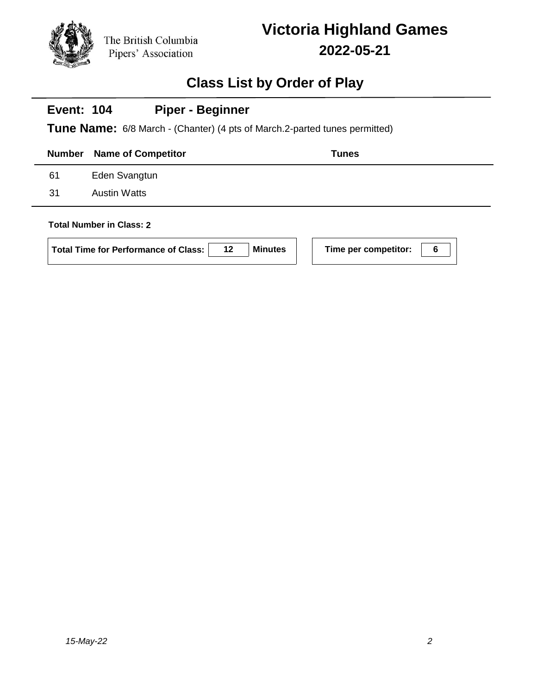

## **Class List by Order of Play**

#### **Event: 104 Piper - Beginner**

**Tune Name:** 6/8 March - (Chanter) (4 pts of March.2-parted tunes permitted)

|     | <b>Number</b> Name of Competitor | <b>Tunes</b> |
|-----|----------------------------------|--------------|
| 61  | Eden Svangtun                    |              |
| -31 | <b>Austin Watts</b>              |              |
|     |                                  |              |

### **Total Number in Class: 2**

| <b>Total Time for Performance of Class:</b> | 12 <sup>12</sup> | <b>Minutes</b> |
|---------------------------------------------|------------------|----------------|
|---------------------------------------------|------------------|----------------|

**Time per competitor: 6**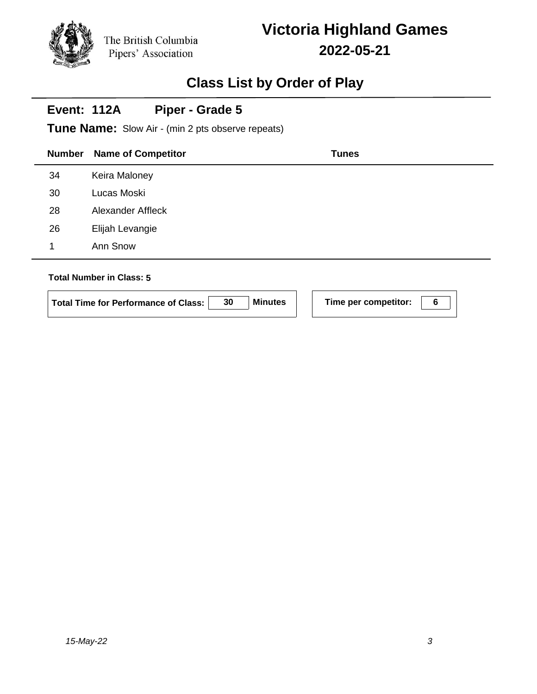Pipers' Association

## **Class List by Order of Play**

#### **Event: 112A Piper - Grade 5**

The British Columbia

**Tune Name:** Slow Air - (min 2 pts observe repeats)

# **Number Name of Competitor Tunes** 34 Keira Maloney 30 Lucas Moski 28 Alexander Affleck 26 Elijah Levangie 1 Ann Snow **Total Number in Class: 5**

| Total Time for Performance of Class: | <b>Minutes</b> | Time per competitor: |  |
|--------------------------------------|----------------|----------------------|--|
|                                      |                |                      |  |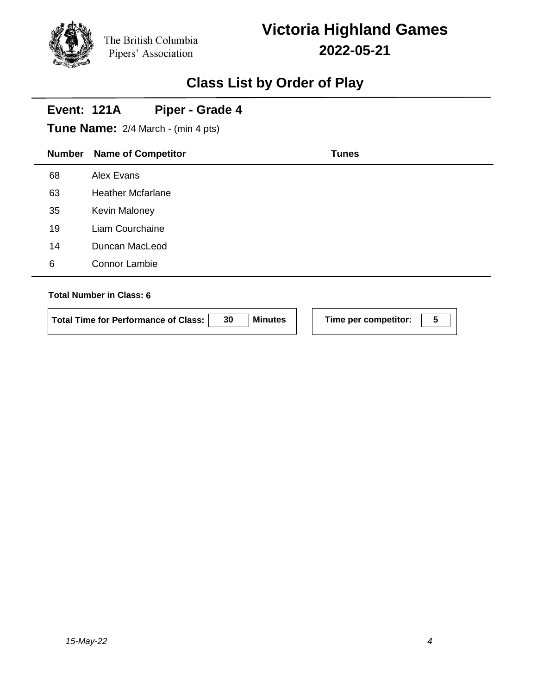## **Class List by Order of Play**

#### **Event: 121A Piper - Grade 4**

**Tune Name:** 2/4 March - (min 4 pts)

| <b>Number</b> | <b>Name of Competitor</b> | <b>Tunes</b> |
|---------------|---------------------------|--------------|
| 68            | Alex Evans                |              |
| 63            | <b>Heather Mcfarlane</b>  |              |
| 35            | <b>Kevin Maloney</b>      |              |
| 19            | Liam Courchaine           |              |
| 14            | Duncan MacLeod            |              |
| 6             | <b>Connor Lambie</b>      |              |
|               |                           |              |

### **Total Number in Class: 6**

**Total Time for Performance of Class: 30 Minutes Time per competitor: 5**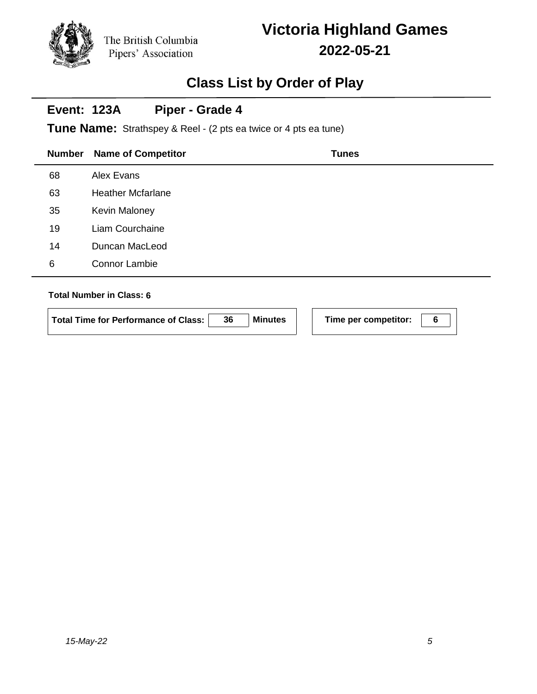# **Victoria Highland Games 2022-05-21**

## **Class List by Order of Play**

#### **Event: 123A Piper - Grade 4**

**Tune Name:** Strathspey & Reel - (2 pts ea twice or 4 pts ea tune)

| <b>Number</b> | <b>Name of Competitor</b> | <b>Tunes</b> |
|---------------|---------------------------|--------------|
| 68            | Alex Evans                |              |
| 63            | <b>Heather Mcfarlane</b>  |              |
| 35            | Kevin Maloney             |              |
| 19            | Liam Courchaine           |              |
| 14            | Duncan MacLeod            |              |
| 6             | <b>Connor Lambie</b>      |              |
|               |                           |              |

### **Total Number in Class: 6**

**Total Time for Performance of Class: 36 Minutes Time per competitor: 6**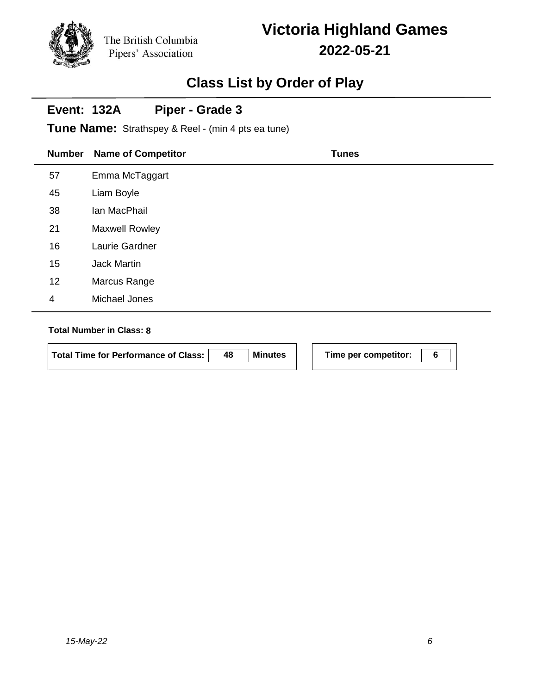Pipers' Association

# **Victoria Highland Games 2022-05-21**

## **Class List by Order of Play**

#### **Event: 132A Piper - Grade 3**

The British Columbia

**Tune Name:** Strathspey & Reel - (min 4 pts ea tune)

|                | <b>Number</b> | <b>Name of Competitor</b> | <b>Tunes</b> |
|----------------|---------------|---------------------------|--------------|
| 57             |               | Emma McTaggart            |              |
|                | 45            | Liam Boyle                |              |
|                | 38            | Ian MacPhail              |              |
| 21             |               | <b>Maxwell Rowley</b>     |              |
|                | 16            | Laurie Gardner            |              |
|                | 15            | Jack Martin               |              |
|                | 12            | Marcus Range              |              |
| $\overline{4}$ |               | Michael Jones             |              |

### **Total Number in Class: 8**

**Total Time for Performance of Class: 48 Minutes Time per competitor: 6**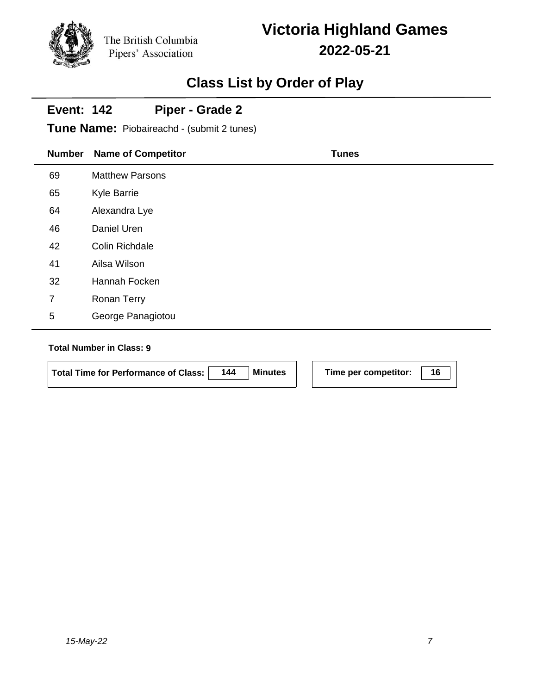# **Victoria Highland Games 2022-05-21**

## **Class List by Order of Play**

#### **Event: 142 Piper - Grade 2**

**Tune Name:** Piobaireachd - (submit 2 tunes)

| <b>Number</b> | <b>Name of Competitor</b> | <b>Tunes</b> |
|---------------|---------------------------|--------------|
| 69            | <b>Matthew Parsons</b>    |              |
| 65            | <b>Kyle Barrie</b>        |              |
| 64            | Alexandra Lye             |              |
| 46            | Daniel Uren               |              |
| 42            | Colin Richdale            |              |
| 41            | Ailsa Wilson              |              |
| 32            | Hannah Focken             |              |
| 7             | <b>Ronan Terry</b>        |              |
| $\sqrt{5}$    | George Panagiotou         |              |

### **Total Number in Class: 9**

| Total Time for Performance of Class:   144   Minutes |  |
|------------------------------------------------------|--|
|                                                      |  |

**S**  $\vert$  **Time per competitor:**  $\vert$  16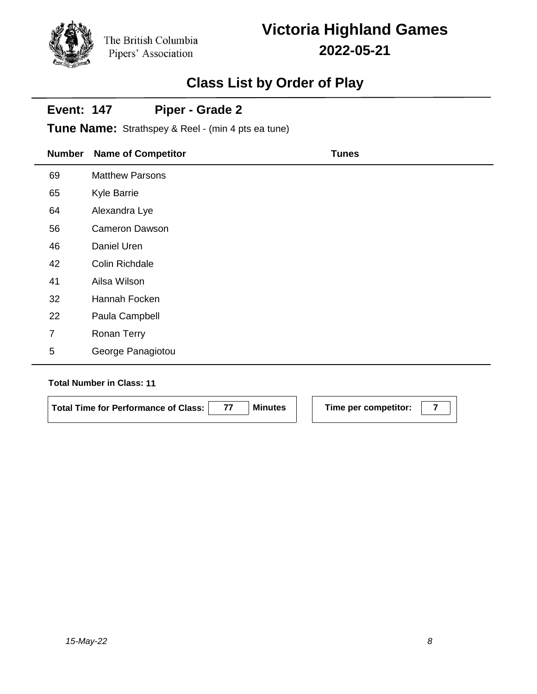# **Victoria Highland Games 2022-05-21**

## **Class List by Order of Play**

#### **Event: 147 Piper - Grade 2**

**Tune Name:** Strathspey & Reel - (min 4 pts ea tune)

| <b>Number</b>  | <b>Name of Competitor</b> | <b>Tunes</b> |
|----------------|---------------------------|--------------|
| 69             | <b>Matthew Parsons</b>    |              |
| 65             | <b>Kyle Barrie</b>        |              |
| 64             | Alexandra Lye             |              |
| 56             | <b>Cameron Dawson</b>     |              |
| 46             | Daniel Uren               |              |
| 42             | Colin Richdale            |              |
| 41             | Ailsa Wilson              |              |
| 32             | Hannah Focken             |              |
| 22             | Paula Campbell            |              |
| $\overline{7}$ | Ronan Terry               |              |
| 5              | George Panagiotou         |              |

### **Total Number in Class: 11**

**Total Time for Performance of Class:** 77 **Minutes** Time per competitor: 7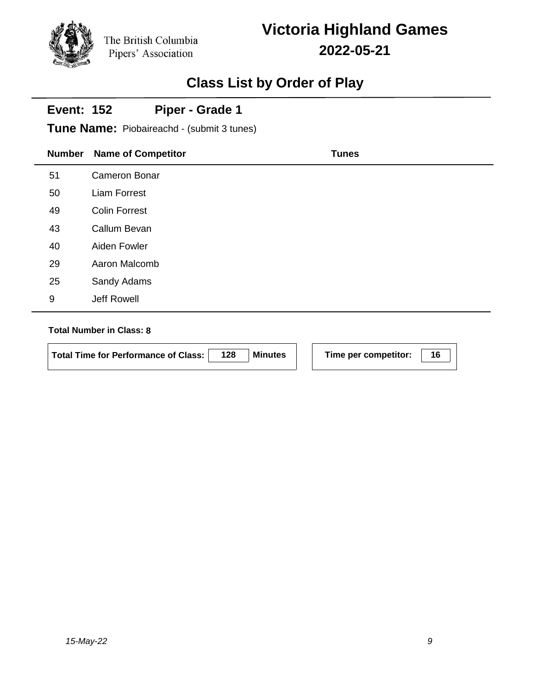# **Victoria Highland Games 2022-05-21**

## **Class List by Order of Play**

#### **Event: 152 Piper - Grade 1**

**Tune Name:** Piobaireachd - (submit 3 tunes)

| <b>Number</b> | <b>Name of Competitor</b> | <b>Tunes</b> |
|---------------|---------------------------|--------------|
| 51            | Cameron Bonar             |              |
| 50            | Liam Forrest              |              |
| 49            | <b>Colin Forrest</b>      |              |
| 43            | Callum Bevan              |              |
| 40            | Aiden Fowler              |              |
| 29            | Aaron Malcomb             |              |
| 25            | Sandy Adams               |              |
| 9             | Jeff Rowell               |              |

### **Total Number in Class: 8**

**Total Time for Performance of Class: 128 Minutes Time per competitor: 16**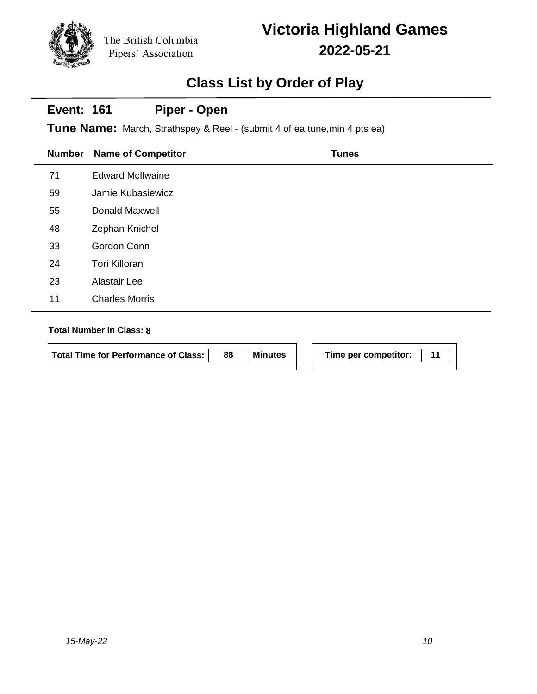# **Victoria Highland Games 2022-05-21**

## **Class List by Order of Play**

#### **Event: 161 Piper - Open**

**Tune Name:** March, Strathspey & Reel - (submit 4 of ea tune,min 4 pts ea)

| <b>Number</b> | <b>Name of Competitor</b> | <b>Tunes</b> |
|---------------|---------------------------|--------------|
| 71            | <b>Edward McIlwaine</b>   |              |
| 59            | Jamie Kubasiewicz         |              |
| 55            | <b>Donald Maxwell</b>     |              |
| 48            | Zephan Knichel            |              |
| 33            | Gordon Conn               |              |
| 24            | <b>Tori Killoran</b>      |              |
| 23            | Alastair Lee              |              |
| 11            | <b>Charles Morris</b>     |              |

### **Total Number in Class: 8**

**Total Time for Performance of Class: 88 Minutes Time per competitor: 11**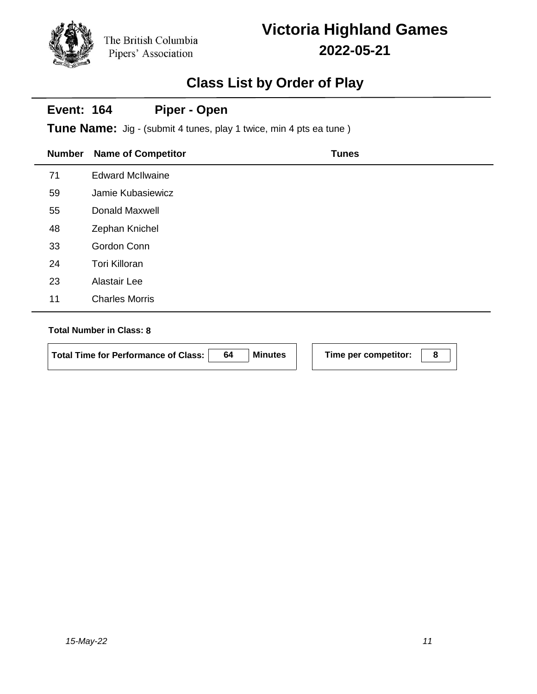## **Victoria Highland Games 2022-05-21**

## **Class List by Order of Play**

#### **Event: 164 Piper - Open**

**Tune Name:** Jig - (submit 4 tunes, play 1 twice, min 4 pts ea tune)

| <b>Number</b> | <b>Name of Competitor</b> | <b>Tunes</b> |
|---------------|---------------------------|--------------|
| 71            | <b>Edward McIlwaine</b>   |              |
| 59            | Jamie Kubasiewicz         |              |
| 55            | Donald Maxwell            |              |
| 48            | Zephan Knichel            |              |
| 33            | Gordon Conn               |              |
| 24            | <b>Tori Killoran</b>      |              |
| 23            | Alastair Lee              |              |
| 11            | <b>Charles Morris</b>     |              |

### **Total Number in Class: 8**

**Total Time for Performance of Class: 64 Minutes Time per competitor: 8**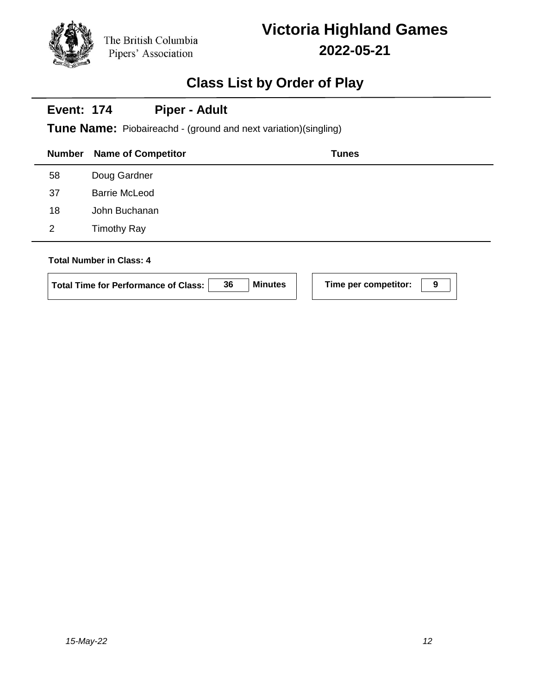## **Class List by Order of Play**

#### **Event: 174 Piper - Adult**

**Tune Name:** Piobaireachd - (ground and next variation)(singling)

| Number | <b>Name of Competitor</b> | <b>Tunes</b> |
|--------|---------------------------|--------------|
| 58     | Doug Gardner              |              |
| 37     | <b>Barrie McLeod</b>      |              |
| 18     | John Buchanan             |              |
| 2      | <b>Timothy Ray</b>        |              |
|        | Total Number in Class: 1  |              |

### **Total Number in Class: 4**

| Total Time for Performance of Class: | 36 | <b>Minutes</b> |  |
|--------------------------------------|----|----------------|--|
|--------------------------------------|----|----------------|--|

**Time per competitor: 9**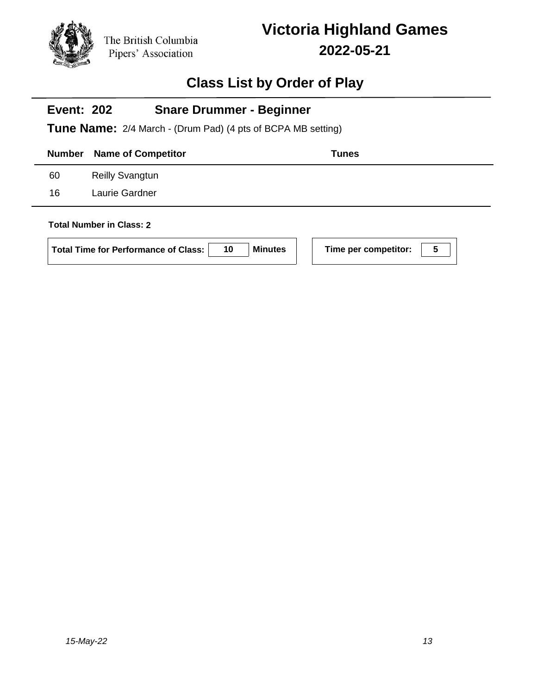

## **Class List by Order of Play**

#### **Event: 202 Snare Drummer - Beginner**

**Tune Name:** 2/4 March - (Drum Pad) (4 pts of BCPA MB setting)

|    | <b>Number</b> Name of Competitor | Tunes |
|----|----------------------------------|-------|
| 60 | <b>Reilly Svangtun</b>           |       |
| 16 | Laurie Gardner                   |       |
|    |                                  |       |

### **Total Number in Class: 2**

|  | Total Time for Performance of Class: | 10 | Minutes |
|--|--------------------------------------|----|---------|
|--|--------------------------------------|----|---------|

**Following Time per competitor: 100**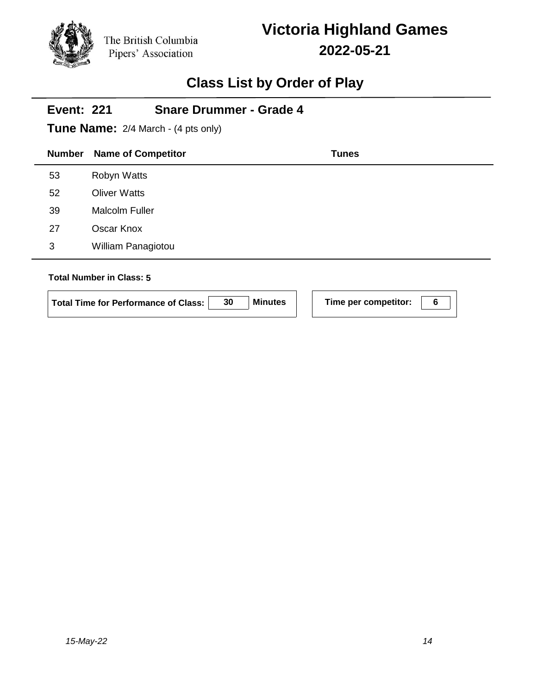# **Victoria Highland Games 2022-05-21**

# **Class List by Order of Play**

|               | <b>Snare Drummer - Grade 4</b><br><b>Event: 221</b><br><b>Tune Name:</b> 2/4 March - (4 pts only) |              |  |  |  |
|---------------|---------------------------------------------------------------------------------------------------|--------------|--|--|--|
| <b>Number</b> | <b>Name of Competitor</b>                                                                         | <b>Tunes</b> |  |  |  |
| 53            | Robyn Watts                                                                                       |              |  |  |  |
| 52            | <b>Oliver Watts</b>                                                                               |              |  |  |  |
| 39            | <b>Malcolm Fuller</b>                                                                             |              |  |  |  |
| 27            | Oscar Knox                                                                                        |              |  |  |  |
| 3             | William Panagiotou                                                                                |              |  |  |  |
|               | <b>Total Number in Class: 5</b>                                                                   |              |  |  |  |

Total Time for Performance of Class: 30 Minutes Time per competitor: 6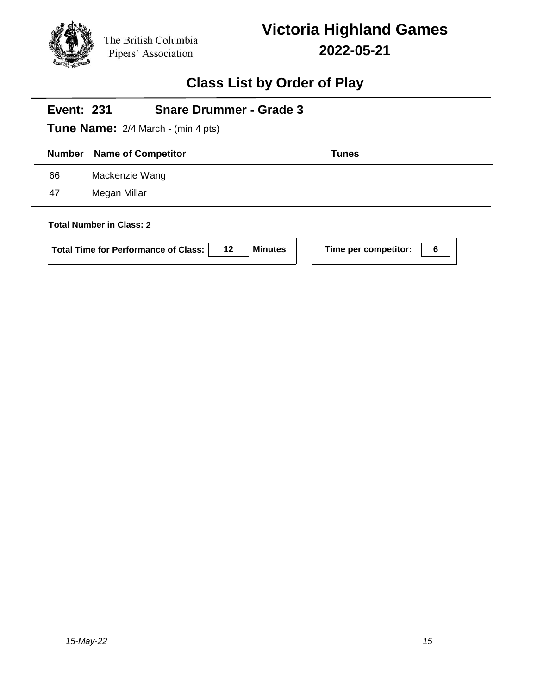

## **Class List by Order of Play**

|               | <b>Snare Drummer - Grade 3</b><br><b>Event: 231</b><br><b>Tune Name:</b> 2/4 March - (min 4 pts) |              |  |  |
|---------------|--------------------------------------------------------------------------------------------------|--------------|--|--|
| <b>Number</b> | <b>Name of Competitor</b>                                                                        | <b>Tunes</b> |  |  |
| 66            | Mackenzie Wang                                                                                   |              |  |  |
| 47            | Megan Millar                                                                                     |              |  |  |
|               | <b>Total Number in Class: 2</b>                                                                  |              |  |  |

Total Time for Performance of Class: 12 Minutes Time per competitor: 6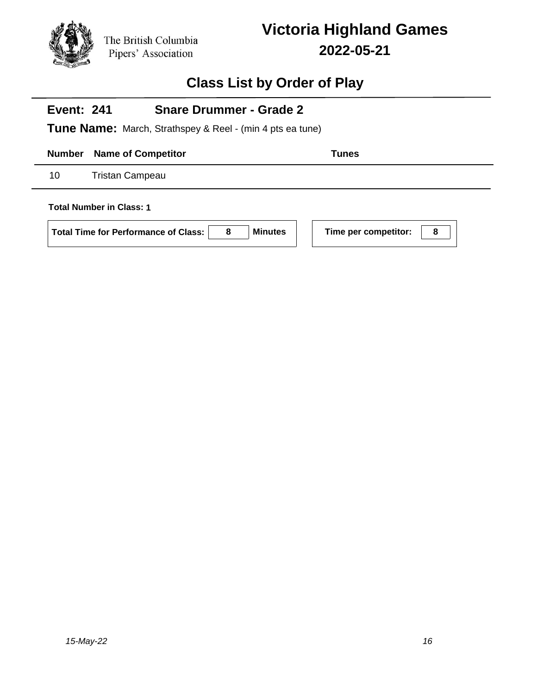

## **Class List by Order of Play**

#### **Event: 241 Snare Drummer - Grade 2**

**Tune Name:** March, Strathspey & Reel - (min 4 pts ea tune)

**Number Name of Competitor Tunes** 

10 Tristan Campeau

**Total Number in Class: 1**

**Total Time for Performance of Class: 8 Minutes Time per competitor: 8**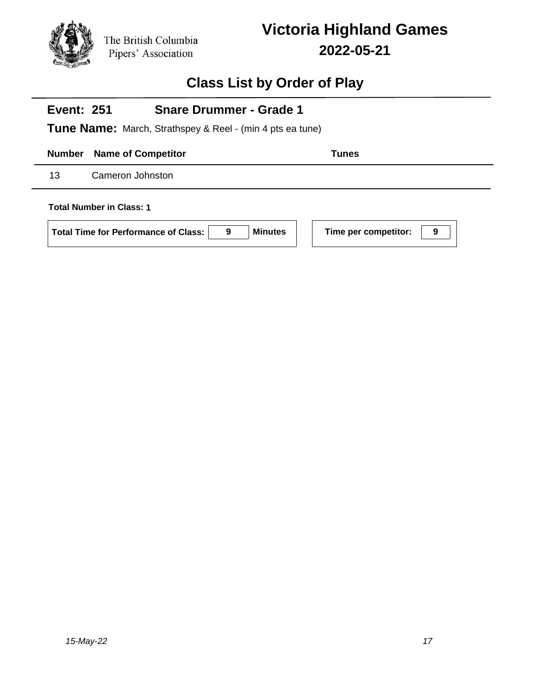

## **Class List by Order of Play**

#### **Event: 251 Snare Drummer - Grade 1**

**Tune Name:** March, Strathspey & Reel - (min 4 pts ea tune)

**Number Name of Competitor Tunes** 

13 Cameron Johnston

**Total Number in Class: 1**

**Total Time for Performance of Class: 9 Minutes Time per competitor: 9**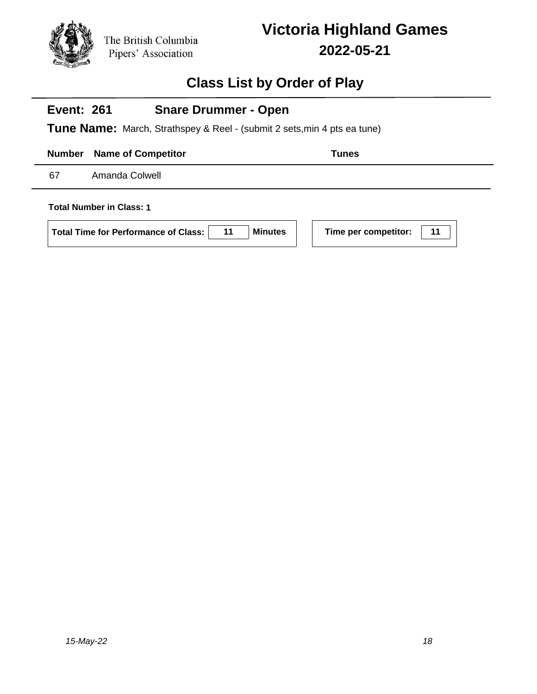

## **Class List by Order of Play**

#### **Event: 261 Snare Drummer - Open**

**Tune Name:** March, Strathspey & Reel - (submit 2 sets,min 4 pts ea tune)

**Number Name of Competitor Tunes** 

67 Amanda Colwell

**Total Number in Class: 1**

**Total Time for Performance of Class: 11 Minutes Time per competitor: 11**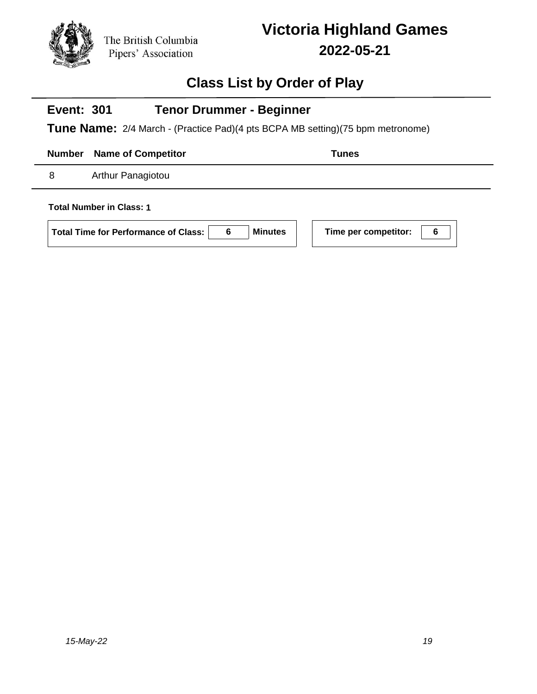

## **Class List by Order of Play**

#### **Event: 301 Tenor Drummer - Beginner**

**Tune Name:** 2/4 March - (Practice Pad)(4 pts BCPA MB setting)(75 bpm metronome)

**Number Name of Competitor Tunes** 

8 Arthur Panagiotou

**Total Number in Class: 1**

**Total Time for Performance of Class: 6 Minutes Time per competitor: 6**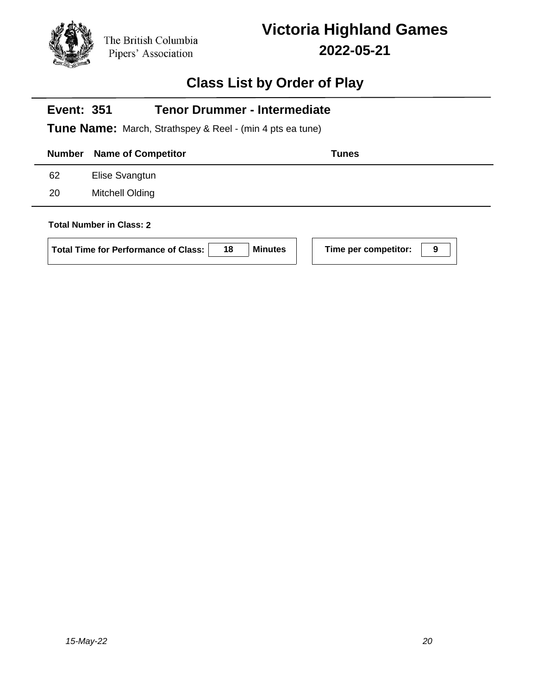# **Class List by Order of Play**

|               | <b>Tenor Drummer - Intermediate</b><br><b>Event: 351</b><br><b>Tune Name:</b> March, Strathspey & Reel - (min 4 pts ea tune) |                           |  |  |  |  |
|---------------|------------------------------------------------------------------------------------------------------------------------------|---------------------------|--|--|--|--|
| <b>Number</b> | <b>Name of Competitor</b>                                                                                                    | <b>Tunes</b>              |  |  |  |  |
| 62            | Elise Svangtun                                                                                                               |                           |  |  |  |  |
| 20            | Mitchell Olding                                                                                                              |                           |  |  |  |  |
|               | <b>Total Number in Class: 2</b><br><b>Minutes</b><br>18<br>Total Time for Performance of Class:                              | Time per competitor:<br>9 |  |  |  |  |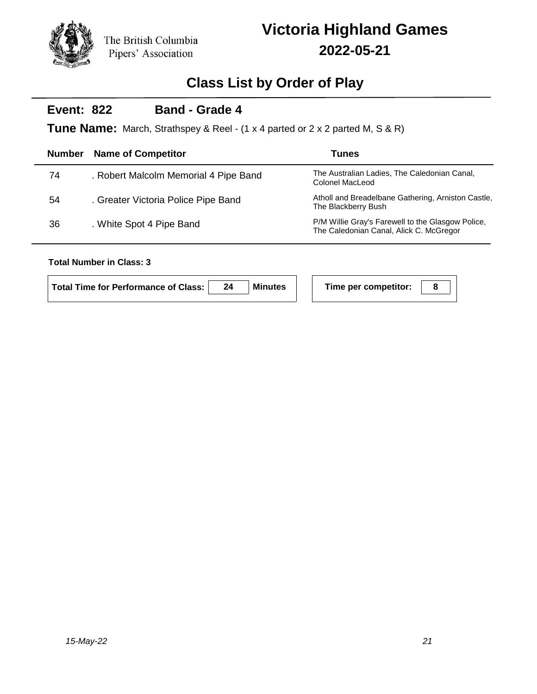

## **Class List by Order of Play**

#### **Event: 822 Band - Grade 4**

**Tune Name:** March, Strathspey & Reel - (1 x 4 parted or 2 x 2 parted M, S & R)

| <b>Number</b> | <b>Name of Competitor</b>             | Tunes                                                                                        |
|---------------|---------------------------------------|----------------------------------------------------------------------------------------------|
| 74            | . Robert Malcolm Memorial 4 Pipe Band | The Australian Ladies, The Caledonian Canal,<br>Colonel MacLeod                              |
| 54            | . Greater Victoria Police Pipe Band   | Atholl and Breadelbane Gathering, Arniston Castle,<br>The Blackberry Bush                    |
| 36            | . White Spot 4 Pipe Band              | P/M Willie Gray's Farewell to the Glasgow Police,<br>The Caledonian Canal, Alick C. McGregor |
|               |                                       |                                                                                              |

### **Total Number in Class: 3**

| Total Time for Performance of Class: | <b>Minutes</b> | Time per competitor: |  |
|--------------------------------------|----------------|----------------------|--|
|                                      |                |                      |  |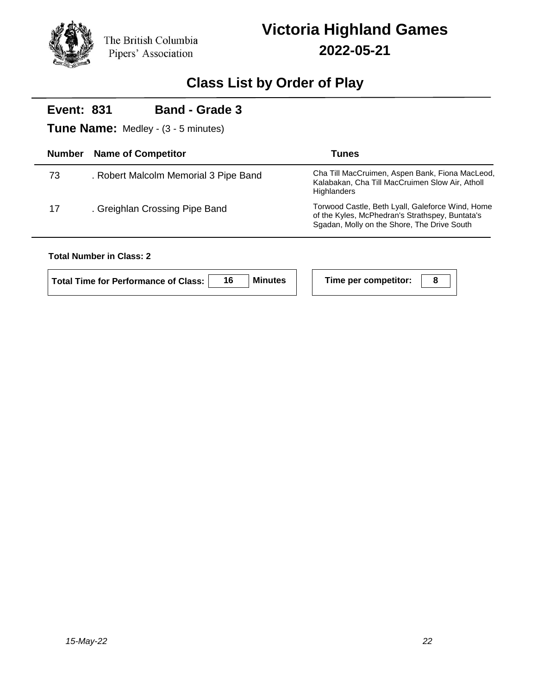

j.

# **Victoria Highland Games 2022-05-21**

## **Class List by Order of Play**

| <b>Band - Grade 3</b><br><b>Event: 831</b><br><b>Tune Name:</b> Medley - (3 - 5 minutes) |                                       |                                                                                                                                                    |  |  |  |
|------------------------------------------------------------------------------------------|---------------------------------------|----------------------------------------------------------------------------------------------------------------------------------------------------|--|--|--|
| <b>Number</b>                                                                            | <b>Name of Competitor</b>             | <b>Tunes</b>                                                                                                                                       |  |  |  |
| 73                                                                                       | . Robert Malcolm Memorial 3 Pipe Band | Cha Till MacCruimen, Aspen Bank, Fiona MacLeod,<br>Kalabakan, Cha Till MacCruimen Slow Air, Atholl<br><b>Highlanders</b>                           |  |  |  |
| 17                                                                                       | . Greighlan Crossing Pipe Band        | Torwood Castle, Beth Lyall, Galeforce Wind, Home<br>of the Kyles, McPhedran's Strathspey, Buntata's<br>Sgadan, Molly on the Shore, The Drive South |  |  |  |
|                                                                                          | <b>Total Number in Class: 2</b>       |                                                                                                                                                    |  |  |  |

### **Total Number in Class: 2**

| Total Time for Performance of Class: | <b>Minutes</b> | Time per competitor: |  |
|--------------------------------------|----------------|----------------------|--|
|                                      |                |                      |  |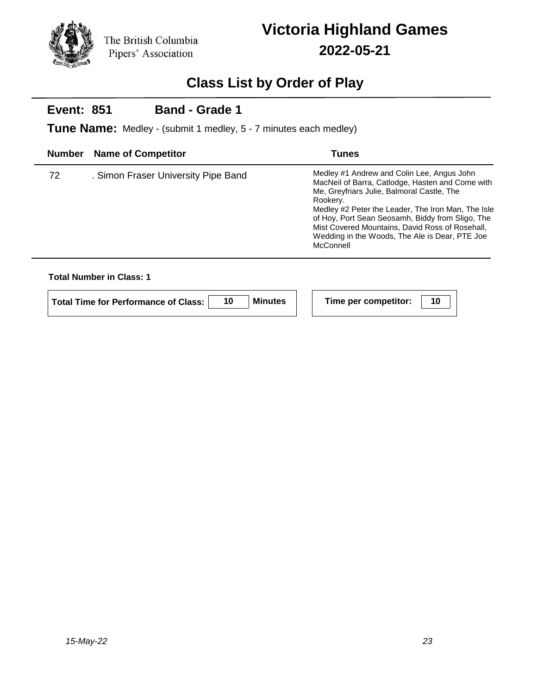

## **Class List by Order of Play**

#### **Event: 851 Band - Grade 1**

**Tune Name:** Medley - (submit 1 medley, 5 - 7 minutes each medley)

| <b>Number</b> | <b>Name of Competitor</b>           | Tunes                                                                                                                                                                                                                                                                                                                                                                                |
|---------------|-------------------------------------|--------------------------------------------------------------------------------------------------------------------------------------------------------------------------------------------------------------------------------------------------------------------------------------------------------------------------------------------------------------------------------------|
| 72            | . Simon Fraser University Pipe Band | Medley #1 Andrew and Colin Lee, Angus John<br>MacNeil of Barra, Catlodge, Hasten and Come with<br>Me, Greyfriars Julie, Balmoral Castle, The<br>Rookery.<br>Medley #2 Peter the Leader, The Iron Man, The Isle<br>of Hoy, Port Sean Seosamh, Biddy from Sligo, The<br>Mist Covered Mountains, David Ross of Rosehall,<br>Wedding in the Woods, The Ale is Dear, PTE Joe<br>McConnell |

### **Total Number in Class: 1**

| Total Time for Performance of Class: | <b>Minutes</b> | Time per competitor: |  |
|--------------------------------------|----------------|----------------------|--|
|                                      |                |                      |  |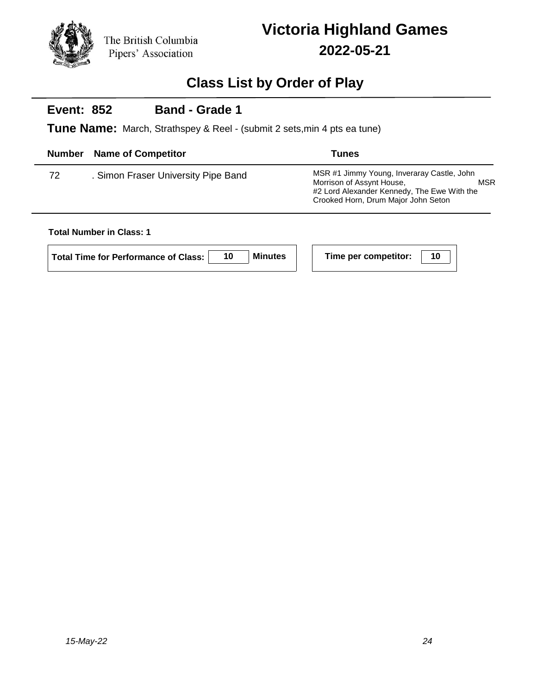

## **Class List by Order of Play**

#### **Event: 852 Band - Grade 1**

**Tune Name:** March, Strathspey & Reel - (submit 2 sets,min 4 pts ea tune)

| <b>Number</b> | <b>Name of Competitor</b>           | Tunes                                                                                                                                                                       |
|---------------|-------------------------------------|-----------------------------------------------------------------------------------------------------------------------------------------------------------------------------|
| 72            | . Simon Fraser University Pipe Band | MSR #1 Jimmy Young, Inveraray Castle, John<br>Morrison of Assynt House,<br><b>MSR</b><br>#2 Lord Alexander Kennedy, The Ewe With the<br>Crooked Horn, Drum Major John Seton |

### **Total Number in Class: 1**

**Total Time for Performance of Class: 10 Minutes Time per competitor: 10**